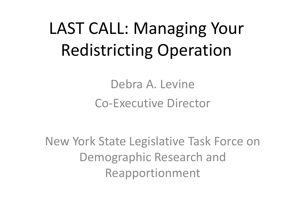# LAST CALL: Managing Your Redistricting Operation

Debra A. Levine Co-Executive Director

New York State Legislative Task Force on Demographic Research and Reapportionment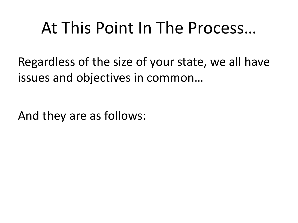### At This Point In The Process…

Regardless of the size of your state, we all have issues and objectives in common…

And they are as follows: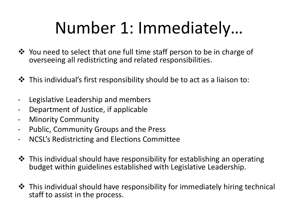## Number 1: Immediately…

- You need to select that one full time staff person to be in charge of overseeing all redistricting and related responsibilities.
- This individual's first responsibility should be to act as a liaison to:
- Legislative Leadership and members
- Department of Justice, if applicable
- Minority Community
- Public, Community Groups and the Press
- NCSL's Redistricting and Elections Committee
- $\cdot$  This individual should have responsibility for establishing an operating budget within guidelines established with Legislative Leadership.
- **\*** This individual should have responsibility for immediately hiring technical staff to assist in the process.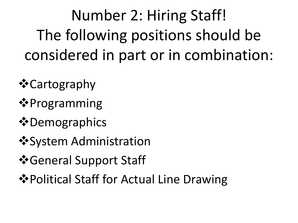Number 2: Hiring Staff! The following positions should be considered in part or in combination:

**☆**Cartography

**❖**Programming

- $\triangle$  **Demographics**
- **❖ System Administration**
- *S*•General Support Staff
- $\dots$  Political Staff for Actual Line Drawing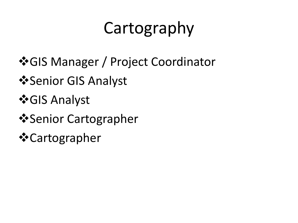# Cartography

- GIS Manager / Project Coordinator
- **Senior GIS Analyst**
- **GIS Analyst**
- **Senior Cartographer**
- **☆**Cartographer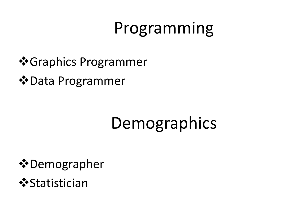## Programming

- Graphics Programmer
- $\dots$  Data Programmer

# Demographics

- $\dots$  Demographer
- **❖**Statistician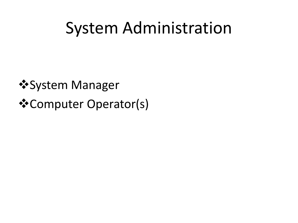### System Administration

*<u>*\*System Manager</u> Computer Operator(s)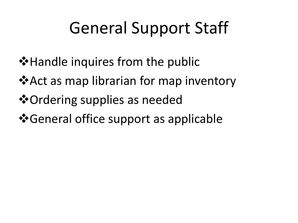## General Support Staff

- **\*** Handle inquires from the public
- **\*** Act as map librarian for map inventory
- Ordering supplies as needed
- $\cdot$  **General office support as applicable**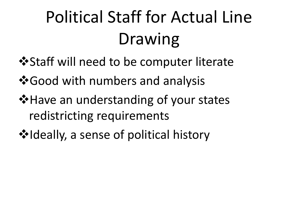# Political Staff for Actual Line Drawing

- $\cdot$  **\$ Staff will need to be computer literate**
- **\*** Good with numbers and analysis
- **\*** Have an understanding of your states redistricting requirements
- ❖ Ideally, a sense of political history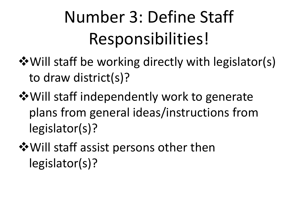# Number 3: Define Staff Responsibilities!

- $\dots$  Will staff be working directly with legislator(s) to draw district(s)?
- Will staff independently work to generate plans from general ideas/instructions from legislator(s)?
- $\dots$  Will staff assist persons other then legislator(s)?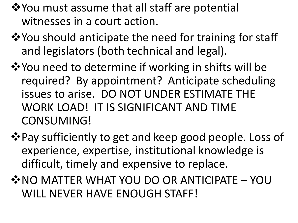- ❖ You must assume that all staff are potential witnesses in a court action.
- **\*** You should anticipate the need for training for staff and legislators (both technical and legal).
- **\*** You need to determine if working in shifts will be required? By appointment? Anticipate scheduling issues to arise. DO NOT UNDER ESTIMATE THE WORK LOAD! IT IS SIGNIFICANT AND TIME CONSUMING!
- ❖ Pay sufficiently to get and keep good people. Loss of experience, expertise, institutional knowledge is difficult, timely and expensive to replace.
- **☆ NO MATTER WHAT YOU DO OR ANTICIPATE YOU** WILL NEVER HAVE ENOUGH STAFF!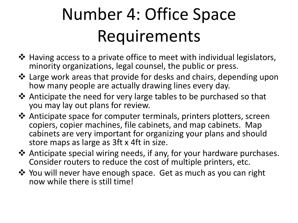# Number 4: Office Space Requirements

- ❖ Having access to a private office to meet with individual legislators, minority organizations, legal counsel, the public or press.
- Large work areas that provide for desks and chairs, depending upon how many people are actually drawing lines every day.
- ❖ Anticipate the need for very large tables to be purchased so that you may lay out plans for review.
- ❖ Anticipate space for computer terminals, printers plotters, screen copiers, copier machines, file cabinets, and map cabinets. Map cabinets are very important for organizing your plans and should store maps as large as 3ft x 4ft in size.
- Anticipate special wiring needs, if any, for your hardware purchases. Consider routers to reduce the cost of multiple printers, etc.
- ❖ You will never have enough space. Get as much as you can right now while there is still time!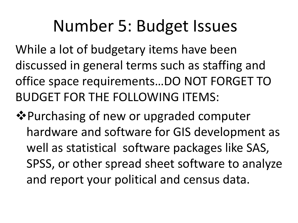### Number 5: Budget Issues

While a lot of budgetary items have been discussed in general terms such as staffing and office space requirements…DO NOT FORGET TO BUDGET FOR THE FOLLOWING ITEMS:

**Example Purchasing of new or upgraded computer** hardware and software for GIS development as well as statistical software packages like SAS, SPSS, or other spread sheet software to analyze and report your political and census data.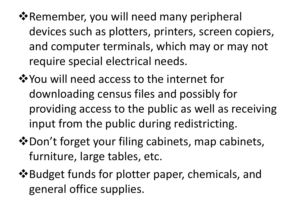- **Examember, you will need many peripheral** devices such as plotters, printers, screen copiers, and computer terminals, which may or may not require special electrical needs.
- You will need access to the internet for downloading census files and possibly for providing access to the public as well as receiving input from the public during redistricting.
- $\lozenge$ **Don't forget your filing cabinets, map cabinets,** furniture, large tables, etc.
- Budget funds for plotter paper, chemicals, and general office supplies.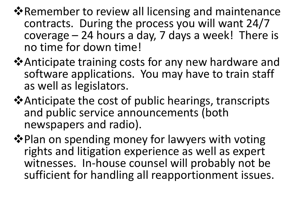- **\*** Remember to review all licensing and maintenance contracts. During the process you will want 24/7 coverage – 24 hours a day, 7 days a week! There is no time for down time!
- **\*Anticipate training costs for any new hardware and** software applications. You may have to train staff as well as legislators.
- Anticipate the cost of public hearings, transcripts and public service announcements (both newspapers and radio).
- ❖ Plan on spending money for lawyers with voting rights and litigation experience as well as expert witnesses. In-house counsel will probably not be sufficient for handling all reapportionment issues.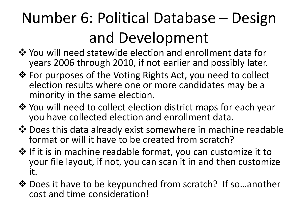## Number 6: Political Database – Design and Development

- ❖ You will need statewide election and enrollment data for years 2006 through 2010, if not earlier and possibly later.
- ❖ For purposes of the Voting Rights Act, you need to collect election results where one or more candidates may be a minority in the same election.
- ◆ You will need to collect election district maps for each year you have collected election and enrollment data.
- $\triangle$  Does this data already exist somewhere in machine readable format or will it have to be created from scratch?
- $\clubsuit$  If it is in machine readable format, you can customize it to your file layout, if not, you can scan it in and then customize it.
- ❖ Does it have to be keypunched from scratch? If so...another cost and time consideration!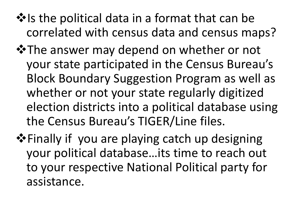- $\cdot$  Is the political data in a format that can be correlated with census data and census maps?
- **\***The answer may depend on whether or not your state participated in the Census Bureau's Block Boundary Suggestion Program as well as whether or not your state regularly digitized election districts into a political database using the Census Bureau's TIGER/Line files.
- **Example 18** Finally if you are playing catch up designing your political database…its time to reach out to your respective National Political party for assistance.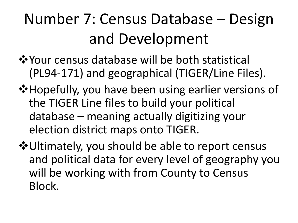### Number 7: Census Database – Design and Development

❖ Your census database will be both statistical (PL94-171) and geographical (TIGER/Line Files).

- **\*** Hopefully, you have been using earlier versions of the TIGER Line files to build your political database – meaning actually digitizing your election district maps onto TIGER.
- Ultimately, you should be able to report census and political data for every level of geography you will be working with from County to Census Block.